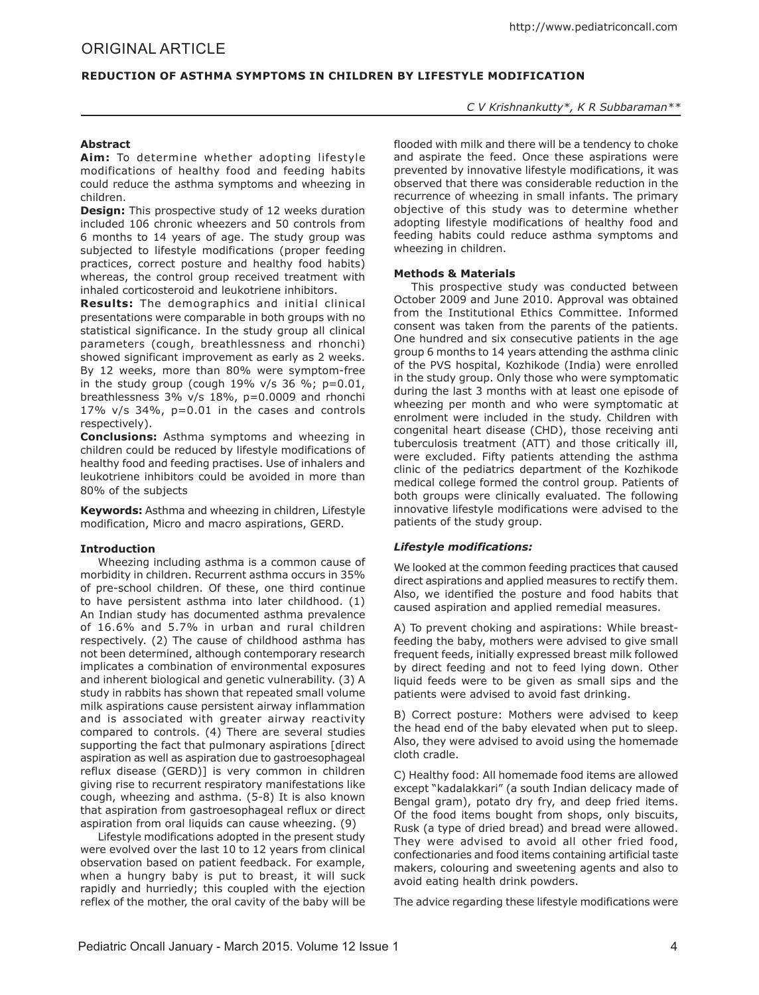# **Reduction of Asthma Symptoms in Children by Lifestyle Modification**

*C V Krishnankutty\*, K R Subbaraman\*\**

# **Abstract**

**Aim:** To determine whether adopting lifestyle modifications of healthy food and feeding habits could reduce the asthma symptoms and wheezing in children.

**Design:** This prospective study of 12 weeks duration included 106 chronic wheezers and 50 controls from 6 months to 14 years of age. The study group was subjected to lifestyle modifications (proper feeding practices, correct posture and healthy food habits) whereas, the control group received treatment with inhaled corticosteroid and leukotriene inhibitors.

**Results:** The demographics and initial clinical presentations were comparable in both groups with no statistical significance. In the study group all clinical parameters (cough, breathlessness and rhonchi) showed significant improvement as early as 2 weeks. By 12 weeks, more than 80% were symptom-free in the study group (cough  $19\%$  v/s 36 %; p=0.01, breathlessness 3% v/s 18%, p=0.0009 and rhonchi 17% v/s 34%, p=0.01 in the cases and controls respectively).

**Conclusions:** Asthma symptoms and wheezing in children could be reduced by lifestyle modifications of healthy food and feeding practises. Use of inhalers and leukotriene inhibitors could be avoided in more than 80% of the subjects

**Keywords:** Asthma and wheezing in children, Lifestyle modification, Micro and macro aspirations, GERD.

## **Introduction**

Wheezing including asthma is a common cause of morbidity in children. Recurrent asthma occurs in 35% of pre-school children. Of these, one third continue to have persistent asthma into later childhood. (1) An Indian study has documented asthma prevalence of 16.6% and 5.7% in urban and rural children respectively. (2) The cause of childhood asthma has not been determined, although contemporary research implicates a combination of environmental exposures and inherent biological and genetic vulnerability. (3) A study in rabbits has shown that repeated small volume milk aspirations cause persistent airway inflammation and is associated with greater airway reactivity compared to controls. (4) There are several studies supporting the fact that pulmonary aspirations [direct] aspiration as well as aspiration due to gastroesophageal reflux disease (GERD)] is very common in children giving rise to recurrent respiratory manifestations like cough, wheezing and asthma. (5-8) It is also known that aspiration from gastroesophageal reflux or direct aspiration from oral liquids can cause wheezing. (9)

Lifestyle modifications adopted in the present study were evolved over the last 10 to 12 years from clinical observation based on patient feedback. For example, when a hungry baby is put to breast, it will suck rapidly and hurriedly; this coupled with the ejection reflex of the mother, the oral cavity of the baby will be flooded with milk and there will be a tendency to choke and aspirate the feed. Once these aspirations were prevented by innovative lifestyle modifications, it was observed that there was considerable reduction in the recurrence of wheezing in small infants. The primary objective of this study was to determine whether adopting lifestyle modifications of healthy food and feeding habits could reduce asthma symptoms and wheezing in children.

## **Methods & Materials**

This prospective study was conducted between October 2009 and June 2010. Approval was obtained from the Institutional Ethics Committee. Informed consent was taken from the parents of the patients. One hundred and six consecutive patients in the age group 6 months to 14 years attending the asthma clinic of the PVS hospital, Kozhikode (India) were enrolled in the study group. Only those who were symptomatic during the last 3 months with at least one episode of wheezing per month and who were symptomatic at enrolment were included in the study. Children with congenital heart disease (CHD), those receiving anti tuberculosis treatment (ATT) and those critically ill, were excluded. Fifty patients attending the asthma clinic of the pediatrics department of the Kozhikode medical college formed the control group. Patients of both groups were clinically evaluated. The following innovative lifestyle modifications were advised to the patients of the study group.

## *Lifestyle modifications:*

We looked at the common feeding practices that caused direct aspirations and applied measures to rectify them. Also, we identified the posture and food habits that caused aspiration and applied remedial measures.

A) To prevent choking and aspirations: While breastfeeding the baby, mothers were advised to give small frequent feeds, initially expressed breast milk followed by direct feeding and not to feed lying down. Other liquid feeds were to be given as small sips and the patients were advised to avoid fast drinking.

B) Correct posture: Mothers were advised to keep the head end of the baby elevated when put to sleep. Also, they were advised to avoid using the homemade cloth cradle.

C) Healthy food: All homemade food items are allowed except "kadalakkari" (a south Indian delicacy made of Bengal gram), potato dry fry, and deep fried items. Of the food items bought from shops, only biscuits, Rusk (a type of dried bread) and bread were allowed. They were advised to avoid all other fried food, confectionaries and food items containing artificial taste makers, colouring and sweetening agents and also to avoid eating health drink powders.

The advice regarding these lifestyle modifications were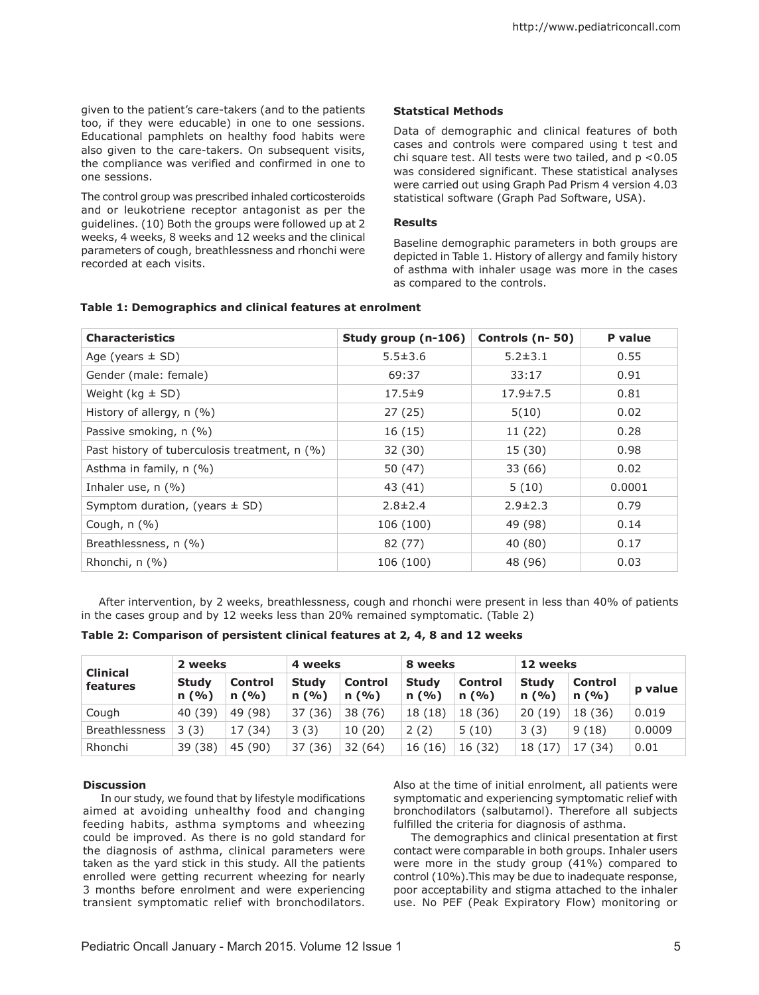given to the patient's care-takers (and to the patients too, if they were educable) in one to one sessions. Educational pamphlets on healthy food habits were also given to the care-takers. On subsequent visits, the compliance was verified and confirmed in one to one sessions.

The control group was prescribed inhaled corticosteroids and or leukotriene receptor antagonist as per the guidelines. (10) Both the groups were followed up at 2 weeks, 4 weeks, 8 weeks and 12 weeks and the clinical parameters of cough, breathlessness and rhonchi were recorded at each visits.

# **Statstical Methods**

Data of demographic and clinical features of both cases and controls were compared using t test and chi square test. All tests were two tailed, and p <0.05 was considered significant. These statistical analyses were carried out using Graph Pad Prism 4 version 4.03 statistical software (Graph Pad Software, USA).

## **Results**

Baseline demographic parameters in both groups are depicted in Table 1. History of allergy and family history of asthma with inhaler usage was more in the cases as compared to the controls.

| <b>Characteristics</b>                        | Study group (n-106) | Controls (n-50) | P value |
|-----------------------------------------------|---------------------|-----------------|---------|
| Age (years $\pm$ SD)                          | $5.5 \pm 3.6$       | $5.2 \pm 3.1$   | 0.55    |
| Gender (male: female)                         | 69:37               | 33:17           | 0.91    |
| Weight ( $kg \pm SD$ )                        | $17.5 \pm 9$        | $17.9 \pm 7.5$  | 0.81    |
| History of allergy, n (%)                     | 27(25)              | 5(10)           | 0.02    |
| Passive smoking, n (%)                        | 16(15)              | 11(22)          | 0.28    |
| Past history of tuberculosis treatment, n (%) | 32 (30)             | 15 (30)         | 0.98    |
| Asthma in family, n (%)                       | 50 (47)             | 33 (66)         | 0.02    |
| Inhaler use, $n$ (%)                          | 43 (41)             | 5(10)           | 0.0001  |
| Symptom duration, (years $\pm$ SD)            | $2.8 \pm 2.4$       | $2.9 \pm 2.3$   | 0.79    |
| Cough, $n$ (%)                                | 106 (100)           | 49 (98)         | 0.14    |
| Breathlessness, n (%)                         | 82 (77)             | 40 (80)         | 0.17    |
| Rhonchi, n (%)                                | 106 (100)           | 48 (96)         | 0.03    |

## **Table 1: Demographics and clinical features at enrolment**

After intervention, by 2 weeks, breathlessness, cough and rhonchi were present in less than 40% of patients in the cases group and by 12 weeks less than 20% remained symptomatic. (Table 2)

**Table 2: Comparison of persistent clinical features at 2, 4, 8 and 12 weeks**

| <b>Clinical</b><br>features | 2 weeks              |                 | 4 weeks              |                        | 8 weeks              |                        | 12 weeks             |                        |         |
|-----------------------------|----------------------|-----------------|----------------------|------------------------|----------------------|------------------------|----------------------|------------------------|---------|
|                             | <b>Study</b><br>n(%) | Control<br>n(%) | <b>Study</b><br>n(%) | <b>Control</b><br>n(%) | <b>Study</b><br>n(%) | <b>Control</b><br>n(%) | <b>Study</b><br>n(%) | <b>Control</b><br>n(%) | p value |
| Cough                       | 40 (39)              | 49 (98)         | 37(36)               | 38 (76)                | 18 (18)              | 18 (36)                | 20(19)               | 18 (36)                | 0.019   |
| <b>Breathlessness</b>       | 3(3)                 | (34)<br>17      | 3(3)                 | 10(20)                 | 2(2)                 | 5(10)                  | 3(3)                 | 9(18)                  | 0.0009  |
| Rhonchi                     | 39 (38)              | 45 (90)         | 37(36)               | 32 (64)                | 16 (16)              | 16 (32)                | 18 (17)              | 17 (34)                | 0.01    |

## **Discussion**

In our study, we found that by lifestyle modifications aimed at avoiding unhealthy food and changing feeding habits, asthma symptoms and wheezing could be improved. As there is no gold standard for the diagnosis of asthma, clinical parameters were taken as the yard stick in this study. All the patients enrolled were getting recurrent wheezing for nearly 3 months before enrolment and were experiencing transient symptomatic relief with bronchodilators.

Also at the time of initial enrolment, all patients were symptomatic and experiencing symptomatic relief with bronchodilators (salbutamol). Therefore all subjects fulfilled the criteria for diagnosis of asthma.

The demographics and clinical presentation at first contact were comparable in both groups. Inhaler users were more in the study group (41%) compared to control (10%).This may be due to inadequate response, poor acceptability and stigma attached to the inhaler use. No PEF (Peak Expiratory Flow) monitoring or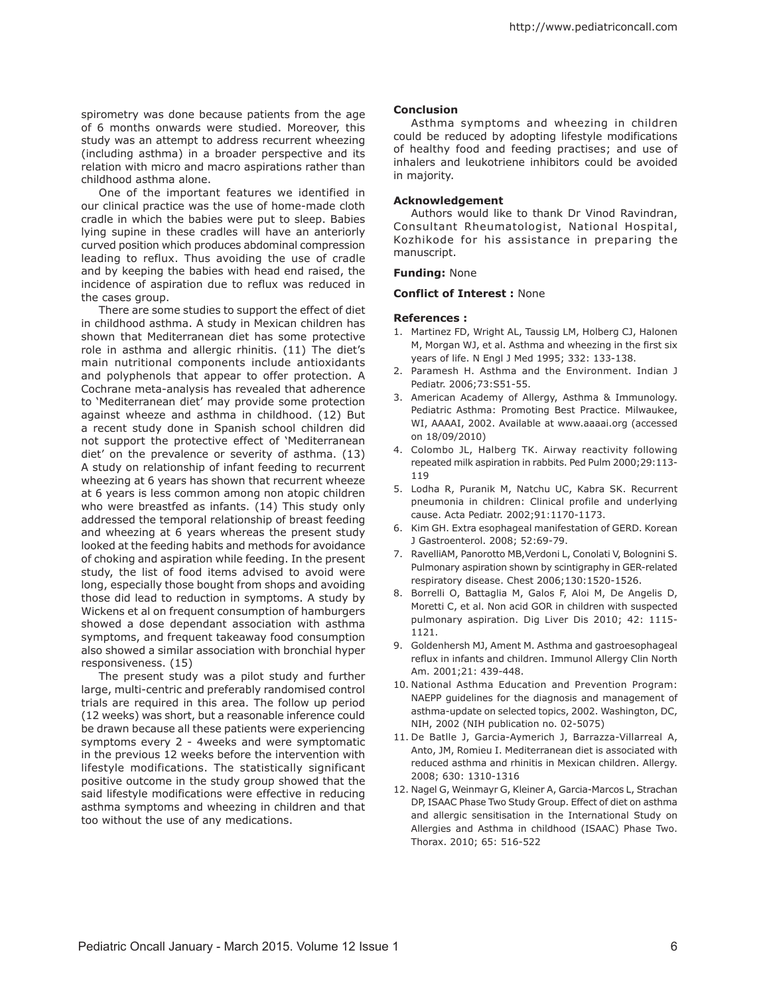spirometry was done because patients from the age of 6 months onwards were studied. Moreover, this study was an attempt to address recurrent wheezing (including asthma) in a broader perspective and its relation with micro and macro aspirations rather than childhood asthma alone.

One of the important features we identified in our clinical practice was the use of home-made cloth cradle in which the babies were put to sleep. Babies lying supine in these cradles will have an anteriorly curved position which produces abdominal compression leading to reflux. Thus avoiding the use of cradle and by keeping the babies with head end raised, the incidence of aspiration due to reflux was reduced in the cases group.

There are some studies to support the effect of diet in childhood asthma. A study in Mexican children has shown that Mediterranean diet has some protective role in asthma and allergic rhinitis. (11) The diet's main nutritional components include antioxidants and polyphenols that appear to offer protection. A Cochrane meta-analysis has revealed that adherence to 'Mediterranean diet' may provide some protection against wheeze and asthma in childhood. (12) But a recent study done in Spanish school children did not support the protective effect of 'Mediterranean diet' on the prevalence or severity of asthma. (13) A study on relationship of infant feeding to recurrent wheezing at 6 years has shown that recurrent wheeze at 6 years is less common among non atopic children who were breastfed as infants. (14) This study only addressed the temporal relationship of breast feeding and wheezing at 6 years whereas the present study looked at the feeding habits and methods for avoidance of choking and aspiration while feeding. In the present study, the list of food items advised to avoid were long, especially those bought from shops and avoiding those did lead to reduction in symptoms. A study by Wickens et al on frequent consumption of hamburgers showed a dose dependant association with asthma symptoms, and frequent takeaway food consumption also showed a similar association with bronchial hyper responsiveness. (15)

The present study was a pilot study and further large, multi-centric and preferably randomised control trials are required in this area. The follow up period (12 weeks) was short, but a reasonable inference could be drawn because all these patients were experiencing symptoms every 2 - 4weeks and were symptomatic in the previous 12 weeks before the intervention with lifestyle modifications. The statistically significant positive outcome in the study group showed that the said lifestyle modifications were effective in reducing asthma symptoms and wheezing in children and that too without the use of any medications.

## **Conclusion**

Asthma symptoms and wheezing in children could be reduced by adopting lifestyle modifications of healthy food and feeding practises; and use of inhalers and leukotriene inhibitors could be avoided in majority.

#### **Acknowledgement**

Authors would like to thank Dr Vinod Ravindran, Consultant Rheumatologist, National Hospital, Kozhikode for his assistance in preparing the manuscript.

### **Funding:** None

#### **Conflict of Interest :** None

### **References :**

- 1. Martinez FD, Wright AL, Taussig LM, Holberg CJ, Halonen M, Morgan WJ, et al. Asthma and wheezing in the first six years of life. N Engl J Med 1995; 332: 133-138.
- 2. Paramesh H. Asthma and the Environment. Indian J Pediatr. 2006;73:S51-55.
- 3. American Academy of Allergy, Asthma & Immunology. Pediatric Asthma: Promoting Best Practice. Milwaukee, WI, AAAAI, 2002. Available at www.aaaai.org (accessed on 18/09/2010)
- 4. Colombo JL, Halberg TK. Airway reactivity following repeated milk aspiration in rabbits. Ped Pulm 2000;29:113- 119
- 5. Lodha R, Puranik M, Natchu UC, Kabra SK. Recurrent pneumonia in children: Clinical profile and underlying cause. Acta Pediatr. 2002;91:1170-1173.
- 6. Kim GH. Extra esophageal manifestation of GERD. Korean J Gastroenterol. 2008; 52:69-79.
- 7. RavelliAM, Panorotto MB,Verdoni L, Conolati V, Bolognini S. Pulmonary aspiration shown by scintigraphy in GER-related respiratory disease. Chest 2006;130:1520-1526.
- 8. Borrelli O, Battaglia M, Galos F, Aloi M, De Angelis D, Moretti C, et al. Non acid GOR in children with suspected pulmonary aspiration. Dig Liver Dis 2010; 42: 1115- 1121.
- 9. Goldenhersh MJ, Ament M. Asthma and gastroesophageal reflux in infants and children. Immunol Allergy Clin North Am. 2001;21: 439-448.
- 10. National Asthma Education and Prevention Program: NAEPP guidelines for the diagnosis and management of asthma-update on selected topics, 2002. Washington, DC, NIH, 2002 (NIH publication no. 02-5075)
- 11. De Batlle J, Garcia-Aymerich J, Barrazza-Villarreal A, Anto, JM, Romieu I. Mediterranean diet is associated with reduced asthma and rhinitis in Mexican children. Allergy. 2008; 630: 1310-1316
- 12. Nagel G, Weinmayr G, Kleiner A, Garcia-Marcos L, Strachan DP, ISAAC Phase Two Study Group. Effect of diet on asthma and allergic sensitisation in the International Study on Allergies and Asthma in childhood (ISAAC) Phase Two. Thorax. 2010; 65: 516-522